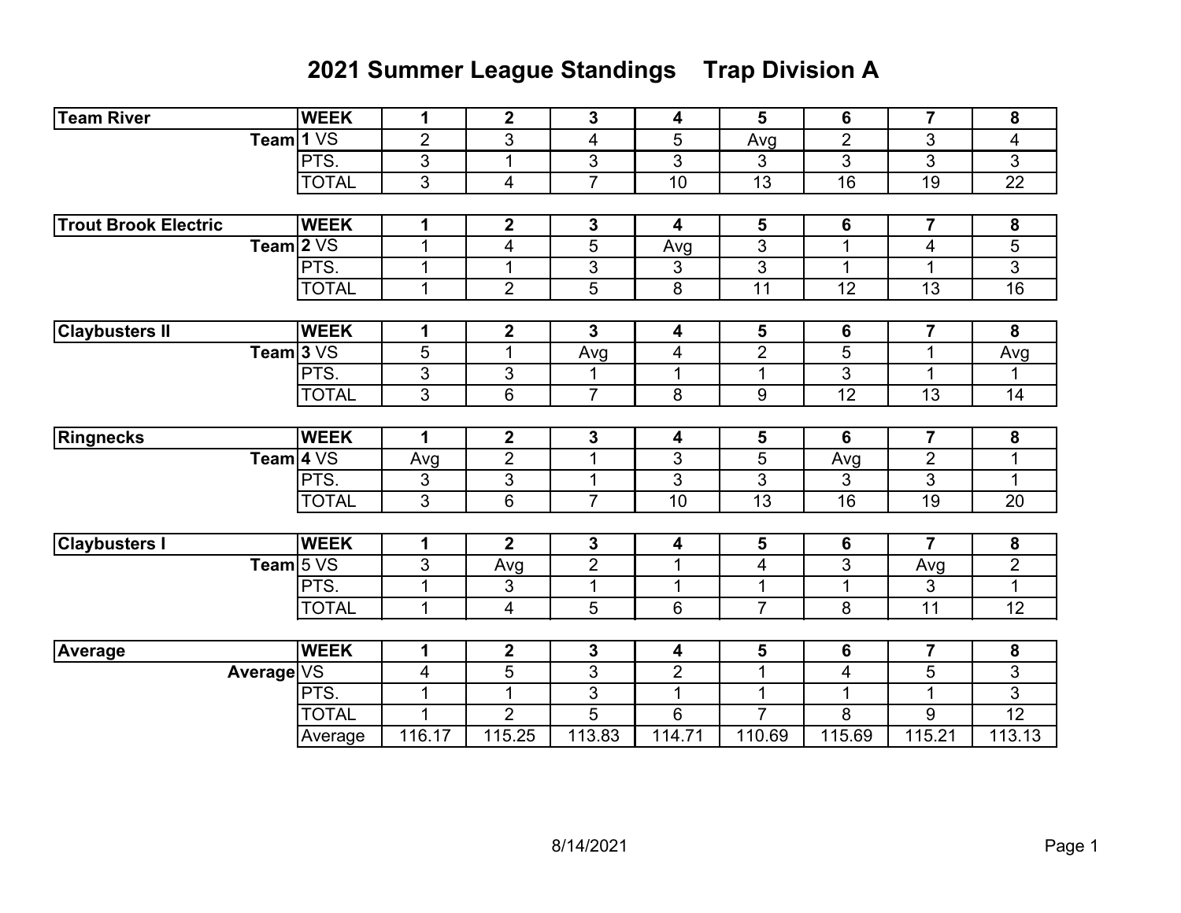## **2021 Summer League Standings Trap Division A**

| <b>Team River</b>           | <b>WEEK</b>  | $\mathbf 1$    | $\mathbf 2$             | 3                       | 4                       | 5              | 6               | $\overline{7}$          | 8                        |
|-----------------------------|--------------|----------------|-------------------------|-------------------------|-------------------------|----------------|-----------------|-------------------------|--------------------------|
| Team 1 VS                   |              | $\overline{2}$ | $\overline{3}$          | $\overline{\mathbf{4}}$ | 5                       | Avg            | $\overline{2}$  | 3                       | $\overline{\mathcal{A}}$ |
|                             | PTS.         | 3              | $\mathbf 1$             | 3                       | 3                       | 3              | $\overline{3}$  | 3                       | 3                        |
|                             | <b>TOTAL</b> | 3              | $\overline{\mathbf{4}}$ | $\overline{7}$          | 10                      | 13             | $\overline{16}$ | 19                      | 22                       |
|                             |              |                |                         |                         |                         |                |                 |                         |                          |
| <b>Trout Brook Electric</b> | <b>WEEK</b>  | 1              | $\boldsymbol{2}$        | $\mathbf 3$             | $\boldsymbol{4}$        | 5              | $6\phantom{1}$  | $\overline{7}$          | $\boldsymbol{8}$         |
| Team $2VS$                  |              | $\mathbf{1}$   | 4                       | 5                       | Avg                     | 3              | $\mathbf{1}$    | 4                       | 5                        |
|                             | PTS.         | 1              | 1                       | 3                       | 3                       | 3              | $\mathbf{1}$    | 1                       | $\overline{3}$           |
|                             | <b>TOTAL</b> | $\mathbf 1$    | $\overline{2}$          | 5                       | 8                       | 11             | 12              | 13                      | 16                       |
|                             |              |                |                         |                         |                         |                |                 |                         |                          |
| <b>Claybusters II</b>       | <b>WEEK</b>  | 1              | $\boldsymbol{2}$        | $\mathbf{3}$            | 4                       | 5              | 6               | $\overline{\mathbf{7}}$ | 8                        |
| Team $3VS$                  |              | 5              | $\mathbf 1$             | Avg                     | 4                       | $\overline{2}$ | $\overline{5}$  | $\mathbf 1$             | Avg                      |
|                             | PTS.         | $\overline{3}$ | 3                       | 1                       | $\mathbf{1}$            | $\mathbf{1}$   | $\overline{3}$  | 1                       | 1                        |
|                             | <b>TOTAL</b> | $\overline{3}$ | 6                       | $\overline{7}$          | 8                       | 9              | $\overline{12}$ | 13                      | $\overline{14}$          |
|                             |              |                |                         |                         |                         |                |                 |                         |                          |
| Ringnecks                   | <b>WEEK</b>  | $\mathbf 1$    | $\boldsymbol{2}$        | $\mathbf 3$             | 4                       | 5              | 6               | $\overline{\mathbf{7}}$ | $\boldsymbol{8}$         |
| Team $4\sqrt{S}$            |              | Avg            | $\overline{2}$          | $\mathbf{1}$            | $\sqrt{3}$              | 5              | Avg             | $\overline{2}$          | 1                        |
|                             | PTS.         | 3              | 3                       | $\mathbf{1}$            | 3                       | 3              | 3               | 3                       | $\mathbf{1}$             |
|                             | <b>TOTAL</b> | $\mathfrak{S}$ | 6                       | $\overline{7}$          | 10                      | 13             | 16              | 19                      | 20                       |
|                             |              |                |                         |                         |                         |                |                 |                         |                          |
| <b>Claybusters I</b>        | <b>WEEK</b>  | 1              | $\overline{2}$          | $\mathbf 3$             | $\overline{\mathbf{4}}$ | 5              | 6               | 7                       | ${\bf 8}$                |
| Team $5VS$                  |              | 3              | Avg                     | $\overline{2}$          | $\mathbf{1}$            | $\overline{4}$ | $\overline{3}$  | Avg                     | $\overline{2}$           |
|                             | PTS.         | $\mathbf{1}$   | 3                       | $\mathbf{1}$            | 1                       | $\mathbf{1}$   | $\mathbf{1}$    | 3                       | $\mathbf{1}$             |
|                             | <b>TOTAL</b> | 1              | $\overline{4}$          | 5                       | $6\phantom{1}$          | $\overline{7}$ | $\overline{8}$  | $\overline{11}$         | $\overline{12}$          |
|                             |              |                |                         |                         |                         |                |                 |                         |                          |
| Average                     | <b>WEEK</b>  | $\mathbf 1$    | $\mathbf{2}$            | $\mathbf 3$             | 4                       | 5              | 6               | $\overline{\mathbf{7}}$ | $\boldsymbol{8}$         |
| Average VS                  |              | 4              | 5                       | 3                       | $\overline{2}$          | $\mathbf{1}$   | 4               | 5                       | 3                        |
|                             | PTS.         | $\mathbf{1}$   | $\mathbf 1$             | 3                       | $\mathbf{1}$            | $\mathbf{1}$   | $\mathbf{1}$    | 1                       | 3                        |
|                             | <b>TOTAL</b> | 1              | $\overline{2}$          | 5                       | 6                       | $\overline{7}$ | 8               | 9                       | $\overline{12}$          |
|                             | Average      | 116.17         | 115.25                  | 113.83                  | 114.71                  | 110.69         | 115.69          | 115.21                  | 113.13                   |